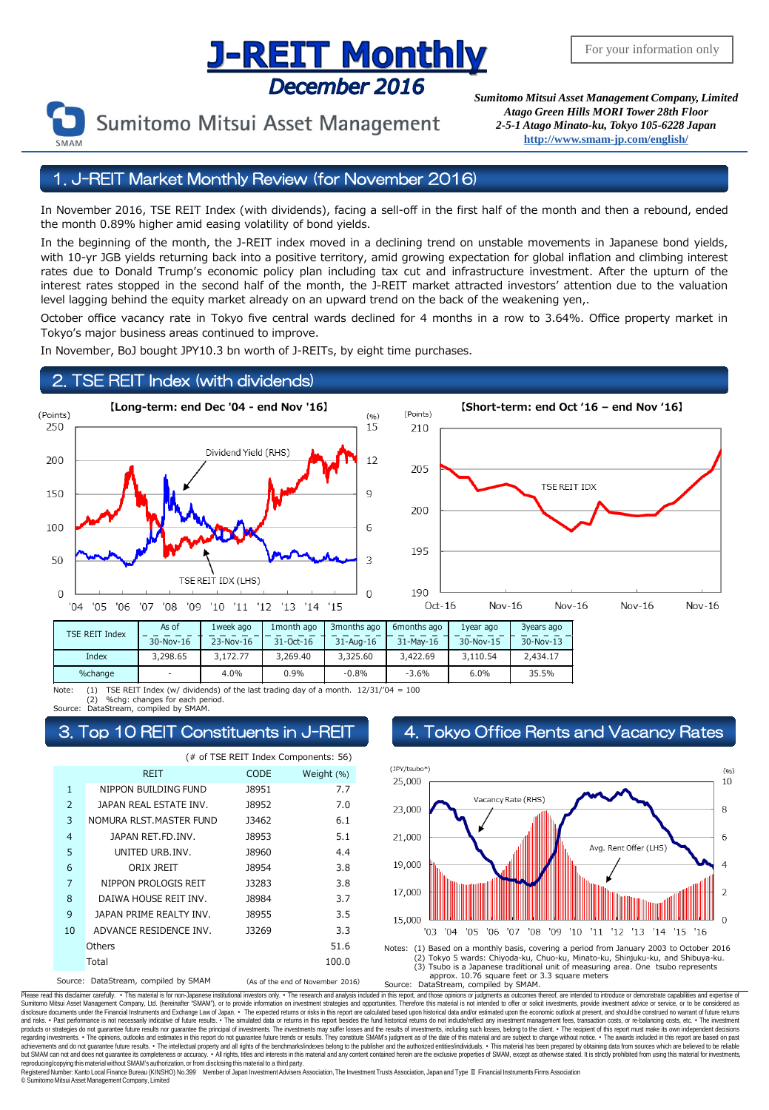# **J-REIT Monthly** December 2016



Sumitomo Mitsui Asset Management

*Sumitomo Mitsui Asset Management Company, Limited Atago Green Hills MORI Tower 28th Floor 2-5-1 Atago Minato-ku, Tokyo 105-6228 Japan* **<http://www.smam-jp.com/english/>**

## 1. J-REIT Market Monthly Review (for November 2016)

In November 2016, TSE REIT Index (with dividends), facing a sell-off in the first half of the month and then a rebound, ended the month 0.89% higher amid easing volatility of bond yields.

In the beginning of the month, the J-REIT index moved in a declining trend on unstable movements in Japanese bond yields, with 10-yr JGB yields returning back into a positive territory, amid growing expectation for global inflation and climbing interest rates due to Donald Trump's economic policy plan including tax cut and infrastructure investment. After the upturn of the interest rates stopped in the second half of the month, the J-REIT market attracted investors' attention due to the valuation level lagging behind the equity market already on an upward trend on the back of the weakening yen,.

October office vacancy rate in Tokyo five central wards declined for 4 months in a row to 3.64%. Office property market in Tokyo's major business areas continued to improve.

In November, BoJ bought JPY10.3 bn worth of J-REITs, by eight time purchases.

### 2. TSE REIT Index (with dividends)



Note: (1) TSE REIT Index (w/ dividends) of the last trading day of a month. 12/31/'04 = 100 (2) %chg: changes for each period. - | 4.0% | 0.9% | -0.8% | -3.6% | 6.0% | 35.5%

DataStream, compiled by SMAM.

| (# of TSE REIT Index Components: 56) |                                                                          |              |            |
|--------------------------------------|--------------------------------------------------------------------------|--------------|------------|
|                                      | <b>REIT</b>                                                              | <b>CODE</b>  | Weight (%) |
| $\mathbf{1}$                         | NIPPON BUILDING FUND                                                     | <b>J8951</b> | 7.7        |
| $\overline{2}$                       | JAPAN REAL ESTATE INV.                                                   | <b>J8952</b> | 7.0        |
| 3                                    | NOMURA RLST. MASTER FUND                                                 | 13462        | 6.1        |
| $\overline{4}$                       | JAPAN RET.FD.INV.                                                        | <b>J8953</b> | 5.1        |
| 5                                    | UNITED URB.INV.                                                          | <b>J8960</b> | 4.4        |
| 6                                    | ORIX JREIT                                                               | <b>J8954</b> | 3.8        |
| $\overline{7}$                       | NIPPON PROLOGIS REIT                                                     | 13283        | 3.8        |
| 8                                    | DAIWA HOUSE REIT INV.                                                    | 18984        | 3.7        |
| 9                                    | JAPAN PRIME REALTY INV.                                                  | 18955        | 3.5        |
| 10                                   | ADVANCE RESIDENCE INV.                                                   | 13269        | 3.3        |
|                                      | Others                                                                   |              | 51.6       |
|                                      | Total                                                                    |              | 100.0      |
|                                      | Source: DataStream, compiled by SMAM<br>(As of the end of November 2016) |              |            |

### Top 10 REIT Constituents in J-REIT 4. Tokyo Office Rents and Vacancy Rates



approx. 10.76 square feet or 3.3 square meters<br>Source: DataStream, compiled by SMAM. DataStream, compiled by SMAM.

Please read this disclaimer carefuly. • This material is for non-Japanese institutional investors only. • The research and analysis included in this report, and those opinions or judgments as outcomes thereof, are intended disclosure documents under the Financial Instruments and Exchange Law of Japan. • The expected relums or risks in this report are calculated based upon historial data and/or estimated upon the economic outlook at present, products or strategies do not guarantee future results nor guarantee the principal of investments. The investments may suffer losses and the results of investments, including such losses, belong to the client. . The recipi regarding investments. • The opinions, outlooks and estimates in this report do not guarantee future trends or results. They constitute SMAM's judgment as of the date of this material and are subject to change without noti reproducing/copying this material without SMAM's authorization, or from disclosing thismaterial to a third party.

egistered Number: Kanto Local Finance Bureau (KINSHO) No.399 Member of Japan Investment Advisers Association, The Investment Trusts Association, Japan and Type Ⅱ Financial Instruments Firms Association © SumitomoMitsui Asset Management Company, Limited